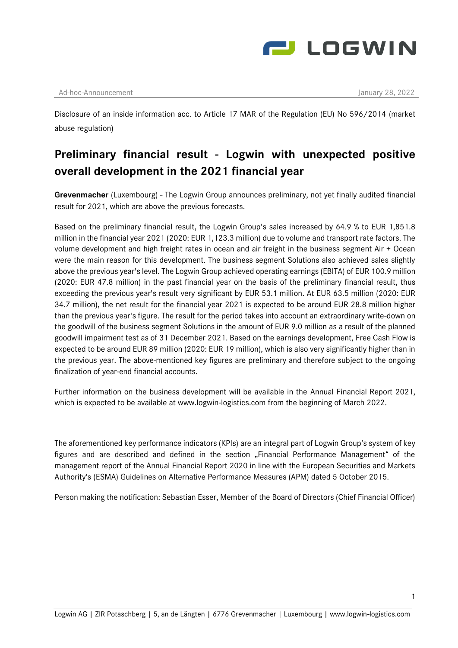

## Ad-hoc-Announcement January 28, 2022

Disclosure of an inside information acc. to Article 17 MAR of the Regulation (EU) No 596/2014 (market abuse regulation)

## **Preliminary financial result - Logwin with unexpected positive overall development in the 2021 financial year**

**Grevenmacher** (Luxembourg) - The Logwin Group announces preliminary, not yet finally audited financial result for 2021, which are above the previous forecasts.

Based on the preliminary financial result, the Logwin Group's sales increased by 64.9 % to EUR 1,851.8 million in the financial year 2021 (2020: EUR 1,123.3 million) due to volume and transport rate factors. The volume development and high freight rates in ocean and air freight in the business segment Air + Ocean were the main reason for this development. The business segment Solutions also achieved sales slightly above the previous year's level. The Logwin Group achieved operating earnings (EBITA) of EUR 100.9 million (2020: EUR 47.8 million) in the past financial year on the basis of the preliminary financial result, thus exceeding the previous year's result very significant by EUR 53.1 million. At EUR 63.5 million (2020: EUR 34.7 million), the net result for the financial year 2021 is expected to be around EUR 28.8 million higher than the previous year's figure. The result for the period takes into account an extraordinary write-down on the goodwill of the business segment Solutions in the amount of EUR 9.0 million as a result of the planned goodwill impairment test as of 31 December 2021. Based on the earnings development, Free Cash Flow is expected to be around EUR 89 million (2020: EUR 19 million), which is also very significantly higher than in the previous year. The above-mentioned key figures are preliminary and therefore subject to the ongoing finalization of year-end financial accounts.

Further information on the business development will be available in the Annual Financial Report 2021, which is expected to be available at www.logwin-logistics.com from the beginning of March 2022.

The aforementioned key performance indicators (KPIs) are an integral part of Logwin Group's system of key figures and are described and defined in the section "Financial Performance Management" of the management report of the Annual Financial Report 2020 in line with the European Securities and Markets Authority's (ESMA) Guidelines on Alternative Performance Measures (APM) dated 5 October 2015.

Person making the notification: Sebastian Esser, Member of the Board of Directors (Chief Financial Officer)